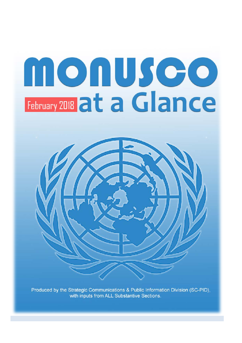# nonusco February 2018 at a Glance



Produced by the Strategic Communications & Public Information Division (SC-PID), with inputs from ALL Substantive Sections.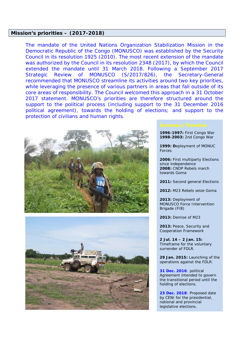# **Mission's priorities – (2017-2018)**

*The mandate of the United Nations Organization Stabilization Mission in the Democratic Republic of the Congo (MONUSCO) was established by the Security Council in its resolution 1925 (2010). The most recent extension of the mandate was authorized by the Council in its resolution 2348 (2017), by which the Council extended the mandate until 31 March 2018. Following a September 2017 Strategic Review of MONUSCO (S/2017/826), the Secretary-General recommended that MONUSCO streamline its activities around two key priorities, while leveraging the presence of various partners in areas that fall outside of its core areas of responsibility. The Council welcomed this approach in a 31 October 2017 statement. MONUSCO's priorities are therefore structured around the*  support to the political process (including support to the 31 December 2016 political agreement), towards the holding of elections; and support to the *protection of civilians and human rights.*





**1996-1997:** First Congo War **1998-2003:** 2nd Congo War

**1999: D**eployment of MONUC Forces

**2006:** First multiparty Elections since independence **2008:** CNDP Rebels march towards Goma

**2011:** Second general Elections

**2012:** M23 Rebels seize Goma

**2013:** Deployment of MONUSCO Force Intervention Brigade (FIB)

**2013:** Demise of M23

**2013:** Peace, Security and Cooperation Framework

**2 Jul. 14 – 2 Jan. 15:**  Timeframe for the voluntary surrender of FDLR.

**29 Jan. 2015:** Launching of the operations against the FDLR.

**31 Dec. 2016**: political Agreement intended to govern the transitional period until the holding of elections.

**23 Dec. 2018**: Proposed date by CENI for the presidential, national and provincial legislative elections.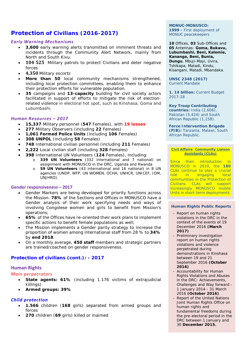# **Protection of Civilians (2016-2017)**

# *Early Warning Mechanisms:*

- **3,600** early warning alerts transmitted on imminent threats and incidents through the Community Alert Network, mainly from North and South Kivu.
- **104 525** Military patrols to protect Civilians and deter negative forces
- **4,350** Military escorts
- More than 50 local community mechanisms strengthened, including local protection committees, enabling them to enhance their protection efforts for vulnerable population.
- **35** campaigns and **13-capacity** building for civil society actors facilitated in support of efforts to mitigate the risk of electionrelated violence in electoral hot spot, such as Kinshasa, Goma and Lubumbashi.

# *Human Resources – 2017*

- **15,337** Military personnel (**547** Females), with **19 losses**
- **277** Military Observers (including **22** Females)
- **1,061 Formed Police Units** (including **106** Females)
- **308 UNPOL** (including **58** Females)
- **748** International civilian personnel (including **211** Females)
- **2,222** Local civilian staff (including **328** Females)
- **398** International UN Volunteers (**124** Females), including:
	- o **339 UN Volunteers** (332 international and 7 national) on assignment with MONUSCO in the DRC, Uganda and Rwanda
		- o **59 UN Volunteers** (43 international and 16 national) in 8 UN agencies (UNDP, WFP, UN WOMEN, OCHA, UNHCR, UNICEF, IOM, UNJHRO).

### **Gender responsiveness – 2017**

- Gender Markers are being developed for priority functions across the Mission. **78%** of the Sections and Offices in MONUSCO have a Gender analysis of their work specifying needs and ways of involving Congolese women and girls to benefit from Mission's operations;
- **65%** of the Offices have re-oriented their work plans to implement specific actions to benefit female populations as well;
- The Mission implements a Gender parity strategy to increase the proportion of women among international staff from 28 % to **34%** by **end 2018**.
- On a monthly average, **450 staff** members and strategic partners are trained/coached on gender responsiveness.

# **Protection of civilians (cont.): - 2017**

# **Human Rights** *Main perpetrators*

- **State agents: 61%** (including 1.176 victims of extrajudicial killings)
- **Armed groups: 39%**

# *Child protection*

- **1.566** children (**168** girls) separated from armed groups and forces
- **270** children (**69** girls) killed or maimed

# **MONUC-MONUSCO: 1999 -** First deployment of

MONUC peacekeepers

**10** Offices, **03** Sub-Offices and **05** Antennas: *Goma, Bukavu, Lubumbashi, Beni, Kalemie, Kananga, Beni, Bunia, Dungu, Mbuji-Mayi, Uvira, Tshikapa, Matadi, Kindu, Kisangani, Matadi, Mbandaka*.

**UNSC 2348 (2017)** Current Mandate

**1. 14 billion:** Current Budget 2017-18

### **Key Troop Contributing**

**countries:** India (2,606), Pakistan (3,424) and South African Republic (1,158).

**Force Intervention Brigade (FIB):** Tanzania, Malawi, South African Republic.

### **Civil Affairs- Community Liaison Assistants (CLAs)**

Since their introduction in MONUSCO in 2010, the **180** CLAs continue to play a crucial role in engaging local communities in the Protection of Civilians. CLAs will support increasingly MONUSCO mobile Units in short-term deployments.

### **Human Rights Public Reports**

- Report on human rights violations in the DRC in the context of the events of 19 December 2016 **(March 2017)**
- Preliminary investigation report on human rights violations and violence perpetrated during demonstrations in Kinshasa between 19 and 21 September 2016 **(October 2016)**
- Accountability for Human Rights Violations and Abuses in the DRC: Achievements, Challenges and Way forward - 1 January 2014 - 31 March 2016 **(October 2016)**
- Report of the United Nations Joint Human Rights Office on human rights and fundamental freedoms during the pre-electoral period in the DRC between 1 January and 30 **December 2015.**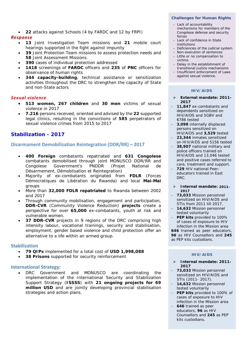• **22** attacks against Schools (4 by FARDC and 12 by FRPI)

# *Response*

- **13** Joint Investigation Team missions and **21** mobile court hearings supported in the fight against impunity
- **39** Joint Protection Team missions to assess protection needs and **58** Joint Assessment Missions.
- **390** cases of individual protection addressed
- **1418** screenings of **FARDC** officers and **235** of **PNC** officers for observance of human rights
- **344 capacity-building**, technical assistance or sensitization activities throughout the DRC to strengthen the capacity of State and non-State actors

## *Sexual violence*

- **513 women, 267 children** and **30 men** victims of sexual violence in 2017
- **7.216** persons received, oriented and advised by the **22** supported legal clinics, resulting in the convictions of **585** perpetrators of sexual violence crimes from 2015 to 2017

# **Stabilization - 2017**

# **Disarmament Demobilization Reintegration (DDR/RR) – 2017**

- **400 Foreign** combatants repatriated and **631 Congolese**  combatants demobilised through joint MONUSCO DDR/RR and Congolese Government's PNDDR (*Projet National de Désarmement, Démoblisation et Reintegration*)
- Majority of ex-combatants originated from **FDLR** (Forces Démocratiques de Libération du Rwanda) and local **Mai-Mai** groups
- More than **32,000 FDLR repatriated** to Rwanda between 2002 and 2017
- Through community mobilisation, engagement and participation, **DDR-CVR** (Community Violence Reduction) **projects** create a perspective for over **65,000** ex-combatants, youth at risk and vulnerable women.
- 37 DDR-CVR projects in 9 regions of the DRC comprising high intensity labour, vocational trainings, security and stabilisation, employment, gender based violence and child protection offer an alternative to a life within an armed group.

### **Stabilization**

- **79 QIPs** implemented for a total cost of **USD 1,998,088**
- **38 Prisons** supported for security reinforcement

### **International Strategy:**

DRC Government and MONUSCO are coordinating the implementation of the International Security and Stabilization Support Strategy (**ISSSS**) with **21 ongoing projects for 69 million USD** and are jointly developing provincial stabilisation strategies and action plans.

### **Challenges for Human Rights**

- Lack of accountability mechanisms for members of the Congolese defense and security forces
- Lack of confidence in State institutions
- Deficiencies of the judicial system
- Non-execution of sentences
- Little or no compensation to victims
- Delay in the establishment of transitional justice mechanisms
- Insufficient enforcement of Laws against sexual violence.

### **HIV/AIDS**

- **External mandate: 2011- 2017**
- *11,847 ex-combatants and dependents sensitized on HIV/AIDS and SGBV and 6786 tested*
- *3,098 internally displaced persons sensitized on HIV/AIDS and 3,529 tested*
- *23,344 inmates sensitized on HIV/AIDS and 5156 tested*
- *38,907 national military and police officers trained on HIV/AIDS and 13,046 tested and positive cases referred to care, treatment and support.*
- *729 HIV national Peereducators trained in East DRC*.

### **Internal mandate: 2011- 2017**

- *73,033 Mission personnel sensitized on HIV/AIDS and STIs from 2011 till 2017.*
- *14,632 Mission personnel tested voluntarily*
- *PEP kits provided to 100% of cases of exposure to HIV infection in the Mission area 646 trained as peer educators, 96 as HIV Counsellors and 245 as PEP kits custodians.*

### **HIV/AIDS**

- **Internal mandate: 2011- 2017**
- **73,033** Mission personnel sensitized on HIV/AIDS and STIs (2011- 2017).
- **14,632** Mission personnel tested voluntarily
- **PEP kits** provided to 100% of cases of exposure to HIV infection in the Mission area
	- **646** trained as peer educators, **96** as HIV Counsellors and **245** as PEP kits custodians.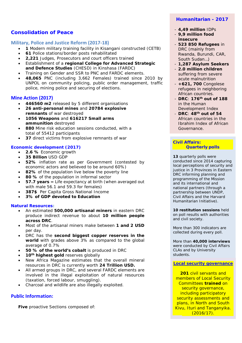# **Consolidation of Peace**

# **Military, Police and Justice Reform (2017-18)**

- **1** Modern military training facility in Kisangani constructed (CETB)
- **61** Police stations/border posts rehabilitated
- **2,221** Judges, Prosecutors and court officers trained
- Establishment of a **regional College for Advanced Strategic and Defence Studies** (CHESD) in Kinshasa (FARDC)
- Training on Gender and SSR to PNC and FARDC elements.
- **48,065** PNC (including 3,662 Females) trained since 2010 by UNPOL on community policing, public order management, traffic police, mining police and securing of elections.

# **Mine Action (2017)**

- **446560 m2** released by 5 different organisations
- **26 anti-personal mines** and **20784 explosive remnants** of war destroyed
- **1056 Weapons** and **616217 Small arms ammunition** destroyed
- **880** Mine risk education sessions conducted, with a total of 55412 participants
- **37** direct victims from explosive remnants of war

## **Economic development (2017)**

- **2.6 %** Economic growth
- **35 Billion** USD GDP
- **52%** inflation rate as per Government (contested by economic actors and believed to be around 60%)
- 82% of the population live below the poverty line
- **80 %** of the population in informal sector
- **57.7 years** = Life expectancy at birth (when averaged out with male 56.1 and 59.3 for females)
- **387\$** Per Capita Gross National Income
- **3% of GDP devoted to Education**

### **Natural Resources:**

- An estimated **500,000 artisanal miners** in eastern DRC produce indirect revenue to about **10 million people across DRC**.
- Most of the artisanal miners make between **1 and 2 USD** per day.
- DRC has the **second biggest copper reserves in the world** with grades above 3% as compared to the global average of 0.7%
- **50 % of the world's cobalt** is produced in DRC
- 10<sup>th</sup> highest gold reserves globally
- *New Africa Magazine* estimates that the overall mineral resources in DRC is currently worth **24 Trillion USD.**
- All armed groups in DRC, and several FARDC elements are involved in the illegal exploitation of natural resources (taxation, forced labour, smuggling).
- Charcoal and wildlife are also illegally exploited.

# **Public Information:**

**Five** proactive Sections composed of:

# **Humanitarian - 2017**

- *4,49 million IDPs*
- *9,9 million food insecure*
- *523 850 Refugees in DRC (mainly from Rwanda, Burundi, CAR, South Sudan…)*
- *1,287 Asylum Seekers*
- *2.0 million children*  suffering from severe acute malnutrition
- *+621, 700 Congolese refugees in neighboring African countries*.
- *DRC*: **176th out of 188** in the Human Development Index
- *DRC*: **48th out of 54** African countries in the Ibrahim Index of African Governance.

### **Civil Affairs: Example 2 Quarterly** polls

**13** quarterly polls were conducted since 2014 capturing local perceptions of security and justice in 3 Provinces in Eastern DRC informing planning and programming of the Mission and its international and national partners (through a partnership between UNDP, Civil Affairs and the Harvard Humanitarian Initiative).

**10 restitution sessions** held on poll results with authorities and civil society.

More than 300 indicators are collected during every poll.

More than **40,000 interviews** were conducted by Civil Affairs CLAs and by University students.

### **Local security governance**

**201** civil servants and members of Local Security Committees **trained** on security governance, including participatory security assessments and plans, in North and South Kivu, Ituri and Tanganyika.  $(2016/17)$ .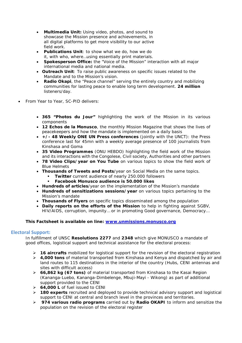- **Multimedia Unit:** Using video, photos, and sound to showcase the Mission presence and achievements, in all digital platforms to get more visibility to our active field work.
- **Publications Unit**: to show what we do, how we do it, with who, where…using essentially print materials.
- **Spokesperson Office:** the "Voice of the Mission" interaction with all major international media and national media.
- **Outreach Unit**: To raise public awareness on specific issues related to the Mandate and to the Mission's vision.
- **Radio Okapi**, the "Peace channel" serving the entirely country and mobilizing communities for lasting peace to enable long term development. **24 million** listeners/day.
- From Year to Year, SC-PID delivers:
	- **365 "Photos du Jour"** highlighting the work of the Mission in its various components
	- **12** *Echos de la Monusco*, the monthly Mission Magazine that shows the lives of peacekeepers and how the mandate is implemented on a daily basis
	- **+/- 48 Weekly ONE UN Press conferences** (jointly with the UNCT): the Press conference last for 45mn with a weekly average presence of 100 journalists from Kinshasa and Goma
	- **35 Video Programmes** (ONU HEBDO) highlighting the field work of the Mission and its interactions with the Congolese, Civil society, Authorities and other partners
	- **78 Video Clips/year on You Tube** on various topics to show the field work of Blue Helmets
	- **Thousands of Tweets and Posts**/year on Social Media on the same topics.
		- **Twitter** current audience of nearly 250.000 followers
			- **Facebook Monusco audience is 50.000 likes**
	- **Hundreds of articles**/year on the implementation of the Mission's mandate
	- **Hundreds of sensitizations sessions/year** on various topics pertaining to the Mission's mandate
	- **Thousands of Flyers** on specific topics disseminated among the population
	- **Daily reports on the efforts of the Mission** to help in fighting against SGBV, HIV/AIDS, corruption, impunity… or in promoting Good governance, Democracy…

### **This Factsheet is available on line: [www.unmissions.monusco.org](http://www.unmissions.monusco.org/)**

# **Electoral Support:**

In fulfillment of UNSC **Resolutions 2277** and **2348** which give MONUSCO a mandate of good offices, logistical support and technical assistance for the electoral process:

- **16 aircrafts** mobilized for logistical support for the revision of the electoral registration
- **4,000 tons** of material transported from Kinshasa and Kenya and dispatched by air and land routes to 115 destinations in the interior of the country (Hubs, CENI antennas and sites with difficult access)
- **66,862 kg (67 tons)** of material transported from Kinshasa to the Kasai Region (Kananga-Luebo, Kananga-Dimbelenge, Mbuji-Mayi - Wikong) as part of additional support provided to the CENI
- **64,000 L** of fuel issued to CENI
- **180 experts** recruited and deployed to provide technical advisory support and logistical support to CENI at central and branch level in the provinces and territories.
- **974 various radio programs** carried out by **Radio OKAPI** to inform and sensitize the population on the revision of the electoral register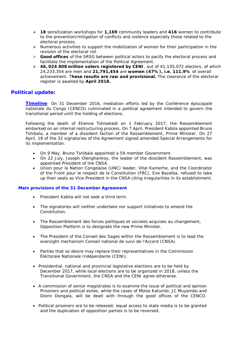- **18** sensitization workshops for **1,169** community leaders and **416** women to contribute to the prevention/mitigation of conflicts and violence especially those related to the electoral process.
- $\triangleright$  Numerous activities to support the mobilization of women for their participation in the revision of the electoral roll
- **Good offices** of the SRSG between political actors to pacify the electoral process and facilitate the implementation of the Political Agreement.
- **46, 024 808 million voters registered by CENI**, out of 41,135,072 electors, of which 24,233,354 are men and **21,791,454** are **women (47%), i.e. 111.9%** of overall achievement. T**hese results are raw and provisional.** The clearance of the electoral register is awaited by **April 2018.**

# **Political update:**

**Timeline**: On 31 December 2016, mediation efforts led by the *Conférence épiscopale nationale du Congo* (CENCO) culminated in a political agreement intended to govern the transitional period until the holding of elections.

Following the death of Etienne Tshisekedi on 1 February 2017, the *Rassemblemen*t embarked on an internal restructuring process. On 7 April, President Kabila appointed Bruno Tshibala, a member of a dissident faction of the *Rassemblement*, Prime Minister. On 27 April, 18 of the 32 signatories of the Agreement signed amended Special Arrangements for its implementation.

- On 9 May, Bruno Tshibala appointed a 59 member Government.
- On 22 July, Joseph Olenghankoy, the leader of the dissident *Rassemblement*, was appointed President of the CNSA.
- *Union pour la Nation Congolaise* (UNC) leader, Vital Kamerhe, and the *Coordinator of the Front pour le respect de la Constitution (FRC)*, Eve Bazaïba, refused to take up their seats as Vice-President in the CNSA citing irregularities in its establishment.

### **Main provisions of the 31 December Agreement**

- President Kabila will not seek a third term.
- The signatories will neither undertake nor support initiatives to amend the Constitution.
- The Rassemblement des forces politiques et sociales acquises au changement, Opposition Platform is to designate the new Prime Minister.
- The President of the *Conseil des Sages* within the Rassemblement is to lead the oversight mechanism Conseil national de suivi de l'Accord (CNSA).
- Parties that so desire may replace their representatives in the Commission Eléctorale Nationale Indépendante (CENI).
- Presidential, national and provincial legislative elections are to be held by December 2017, while local elections are to be organized in 2018, unless the Transitional Government, the CNSA and the CENI agree otherwise.
- A commission of senior magistrates is to examine the issue of political and opinion Prisoners and political exiles, while the cases of Moïse Katumbi, JC Muyambo and Diomi Dongala, will be dealt with through the good offices of the CENCO.
- Political prisoners are to be released; equal access to state media is to be granted and the duplication of opposition parties is to be reversed.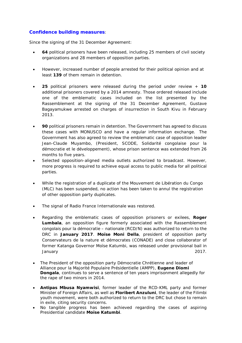# **Confidence building measures**:

Since the signing of the 31 December Agreement:

- **64** political prisoners have been released, including 25 members of civil society organizations and 28 members of opposition parties.
- However, increased number of people arrested for their political opinion and at least **139** of them remain in detention.
- **25** political prisoners were released during the period under review + **10** additional prisoners covered by a 2014 amnesty. Those ordered released include one of the emblematic cases included on the list presented by the Rassemblement at the signing of the 31 December Agreement, Gustave Bagayamukwe arrested on charges of insurrection in South Kivu in February 2013.
- **90** political prisoners remain in detention. The Government has agreed to discuss these cases with MONUSCO and have a regular information exchange. The Government has also agreed to review the emblematic case of opposition leader Jean-Claude Muyambo, (President, SCODE, *Solidarité congolaise pour la démocratie et le développement*), whose prison sentence was extended from 26 months to five years.
- Selected opposition-aligned media outlets authorized to broadcast. However, more progress is required to achieve equal access to public media for all political parties.
- While the registration of a duplicate of the *Mouvement de Libération du Congo* (MLC) has been suspended, no action has been taken to annul the registration of other opposition party duplicates.
- The signal of *Radio France Internationale* was restored.
- Regarding the emblematic cases of opposition prisoners or exilees, **Roger Lumbala**, an opposition figure formerly associated with the *Rassemblement congolais pour la démocratie – nationale* (RCD/N) was authorized to return to the DRC in **January 2017**. **Moïse Moni Della**, president of opposition party *Conservateurs de la nature et démocrates* (CONADE) and close collaborator of former Katanga Governor Moïse Katumbi, was released under provisional bail in January 2017.
- The President of the opposition party *Démocratie Chrétienne* and leader of *Alliance pour la Majorité Populaire Présidentielle* (AMPP), **Eugene Diomi Dongala**, continues to serve a sentence of ten years imprisonment allegedly for the rape of two minors in 2014.
- **Antipas Mbusa Nyamwisi**, former leader of the RCD-KML party and former Minister of Foreign Affairs, as well as **Floribert Anzuluni**, the leader of the Filimbi youth movement, were both authorized to return to the DRC but chose to remain in exile, citing security concerns.
- No tangible progress has been achieved regarding the cases of aspiring Presidential candidate **Moïse Katumbi**.